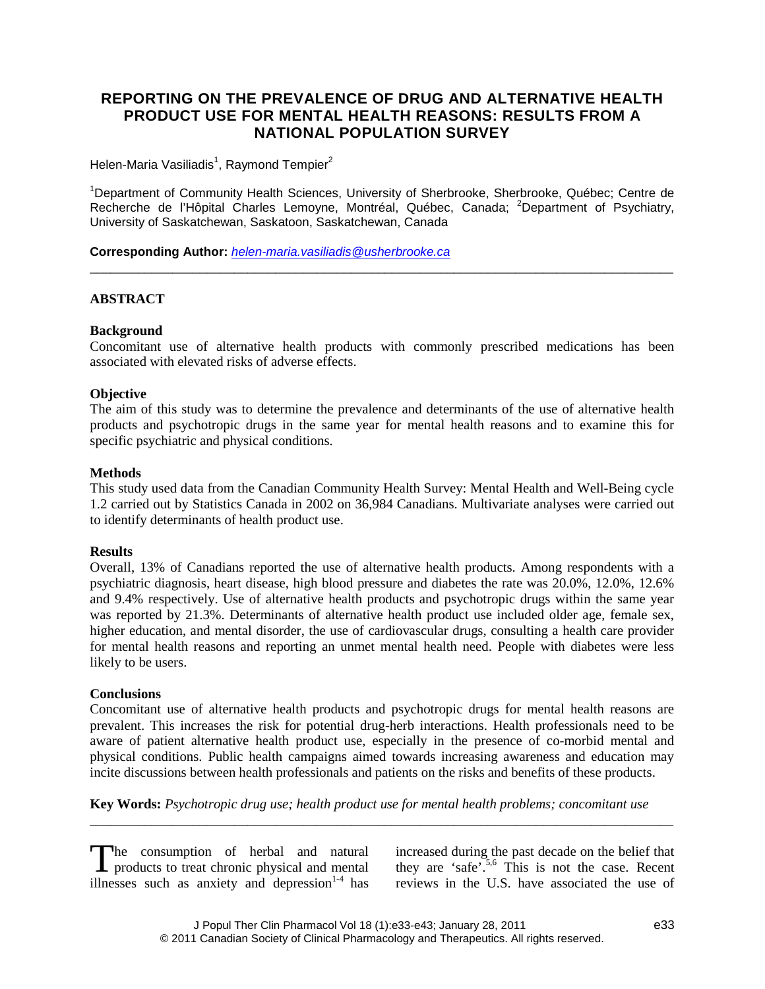# **REPORTING ON THE PREVALENCE OF DRUG AND ALTERNATIVE HEALTH PRODUCT USE FOR MENTAL HEALTH REASONS: RESULTS FROM A NATIONAL POPULATION SURVEY**

Helen-Maria Vasiliadis $^1$ , Raymond Tempier $^2$ 

<sup>1</sup>Department of Community Health Sciences, University of Sherbrooke, Sherbrooke, Québec; Centre de Recherche de l'Hôpital Charles Lemoyne, Montréal, Québec, Canada; <sup>2</sup>Department of Psychiatry, University of Saskatchewan, Saskatoon, Saskatchewan, Canada

\_\_\_\_\_\_\_\_\_\_\_\_\_\_\_\_\_\_\_\_\_\_\_\_\_\_\_\_\_\_\_\_\_\_\_\_\_\_\_\_\_\_\_\_\_\_\_\_\_\_\_\_\_\_\_\_\_\_\_\_\_\_\_\_\_\_\_\_\_\_\_\_\_\_\_\_\_\_\_\_\_\_\_\_\_

**Corresponding Author:** *[helen-maria.vasiliadis@usherbrooke.ca](mailto:helen-maria.vasiliadis@usherbrooke.ca)*

## **ABSTRACT**

## **Background**

Concomitant use of alternative health products with commonly prescribed medications has been associated with elevated risks of adverse effects.

#### **Objective**

The aim of this study was to determine the prevalence and determinants of the use of alternative health products and psychotropic drugs in the same year for mental health reasons and to examine this for specific psychiatric and physical conditions.

#### **Methods**

This study used data from the Canadian Community Health Survey: Mental Health and Well-Being cycle 1.2 carried out by Statistics Canada in 2002 on 36,984 Canadians. Multivariate analyses were carried out to identify determinants of health product use.

#### **Results**

Overall, 13% of Canadians reported the use of alternative health products. Among respondents with a psychiatric diagnosis, heart disease, high blood pressure and diabetes the rate was 20.0%, 12.0%, 12.6% and 9.4% respectively. Use of alternative health products and psychotropic drugs within the same year was reported by 21.3%. Determinants of alternative health product use included older age, female sex, higher education, and mental disorder, the use of cardiovascular drugs, consulting a health care provider for mental health reasons and reporting an unmet mental health need. People with diabetes were less likely to be users.

#### **Conclusions**

Concomitant use of alternative health products and psychotropic drugs for mental health reasons are prevalent. This increases the risk for potential drug-herb interactions. Health professionals need to be aware of patient alternative health product use, especially in the presence of co-morbid mental and physical conditions. Public health campaigns aimed towards increasing awareness and education may incite discussions between health professionals and patients on the risks and benefits of these products.

**Key Words:** *Psychotropic drug use; health product use for mental health problems; concomitant use*

\_\_\_\_\_\_\_\_\_\_\_\_\_\_\_\_\_\_\_\_\_\_\_\_\_\_\_\_\_\_\_\_\_\_\_\_\_\_\_\_\_\_\_\_\_\_\_\_\_\_\_\_\_\_\_\_\_\_\_\_\_\_\_\_\_\_\_\_\_\_\_\_\_\_\_\_\_\_\_\_\_\_\_\_\_

The consumption of herbal and natural The consumption of herbal and natural<br>products to treat chronic physical and mental illnesses such as anxiety and depression $1-4$  has

increased during the past decade on the belief that they are 'safe'.<sup>5,6</sup> This is not the case. Recent reviews in the U.S. have associated the use of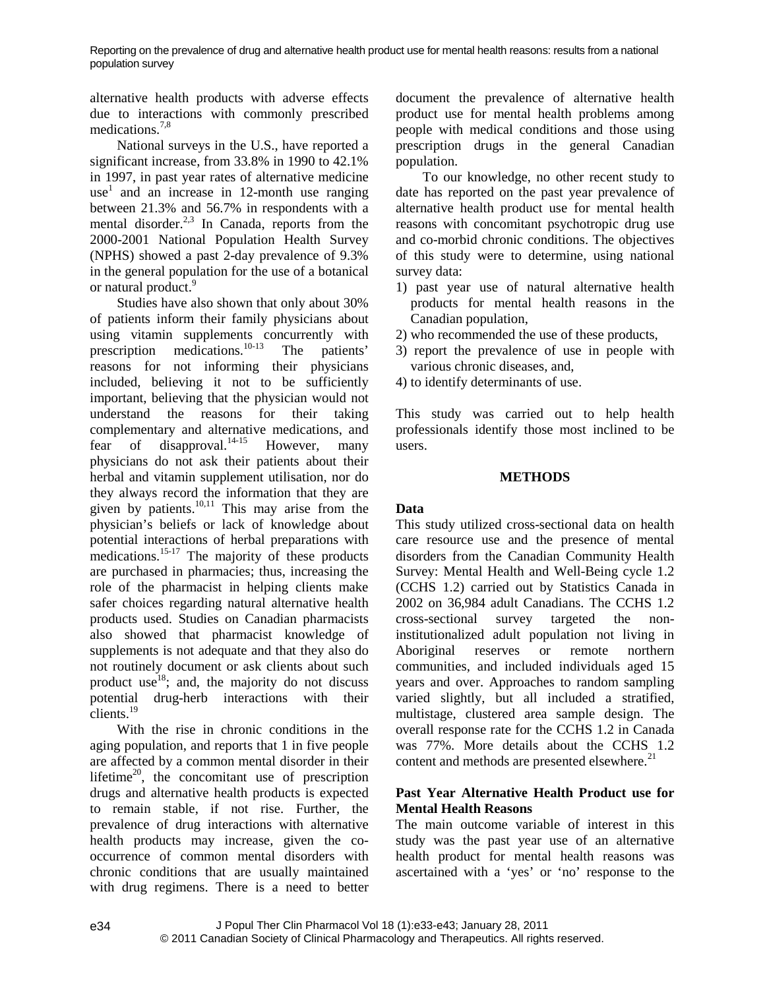alternative health products with adverse effects due to interactions with commonly prescribed medications.<sup>7,8</sup>

National surveys in the U.S., have reported a significant increase, from 33.8% in 1990 to 42.1% in 1997, in past year rates of alternative medicine  $use<sup>1</sup>$  and an increase in 12-month use ranging between 21.3% and 56.7% in respondents with a mental disorder.<sup>2,3</sup> In Canada, reports from the 2000-2001 National Population Health Survey (NPHS) showed a past 2-day prevalence of 9.3% in the general population for the use of a botanical or natural product.<sup>9</sup>

Studies have also shown that only about 30% of patients inform their family physicians about using vitamin supplements concurrently with prescription medications.10-13 The patients' reasons for not informing their physicians included, believing it not to be sufficiently important, believing that the physician would not understand the reasons for their taking complementary and alternative medications, and fear of disapproval. $14-15$  However, many physicians do not ask their patients about their herbal and vitamin supplement utilisation, nor do they always record the information that they are given by patients. $10,11$  This may arise from the physician's beliefs or lack of knowledge about potential interactions of herbal preparations with medications.<sup>15-17</sup> The majority of these products are purchased in pharmacies; thus, increasing the role of the pharmacist in helping clients make safer choices regarding natural alternative health products used. Studies on Canadian pharmacists also showed that pharmacist knowledge of supplements is not adequate and that they also do not routinely document or ask clients about such product use  $18$ ; and, the majority do not discuss potential drug-herb interactions with their clients.<sup>19</sup>

With the rise in chronic conditions in the aging population, and reports that 1 in five people are affected by a common mental disorder in their lifetime<sup>20</sup>, the concomitant use of prescription drugs and alternative health products is expected to remain stable, if not rise. Further, the prevalence of drug interactions with alternative health products may increase, given the cooccurrence of common mental disorders with chronic conditions that are usually maintained with drug regimens. There is a need to better document the prevalence of alternative health product use for mental health problems among people with medical conditions and those using prescription drugs in the general Canadian population.

To our knowledge, no other recent study to date has reported on the past year prevalence of alternative health product use for mental health reasons with concomitant psychotropic drug use and co-morbid chronic conditions. The objectives of this study were to determine, using national survey data:

- 1) past year use of natural alternative health products for mental health reasons in the Canadian population,
- 2) who recommended the use of these products,
- 3) report the prevalence of use in people with various chronic diseases, and,
- 4) to identify determinants of use.

This study was carried out to help health professionals identify those most inclined to be users.

#### **METHODS**

#### **Data**

This study utilized cross-sectional data on health care resource use and the presence of mental disorders from the Canadian Community Health Survey: Mental Health and Well-Being cycle 1.2 (CCHS 1.2) carried out by Statistics Canada in 2002 on 36,984 adult Canadians. The CCHS 1.2 cross-sectional survey targeted the noninstitutionalized adult population not living in Aboriginal reserves or remote northern communities, and included individuals aged 15 years and over. Approaches to random sampling varied slightly, but all included a stratified, multistage, clustered area sample design. The overall response rate for the CCHS 1.2 in Canada was 77%. More details about the CCHS 1.2 content and methods are presented elsewhere.<sup>21</sup>

#### **Past Year Alternative Health Product use for Mental Health Reasons**

The main outcome variable of interest in this study was the past year use of an alternative health product for mental health reasons was ascertained with a 'yes' or 'no' response to the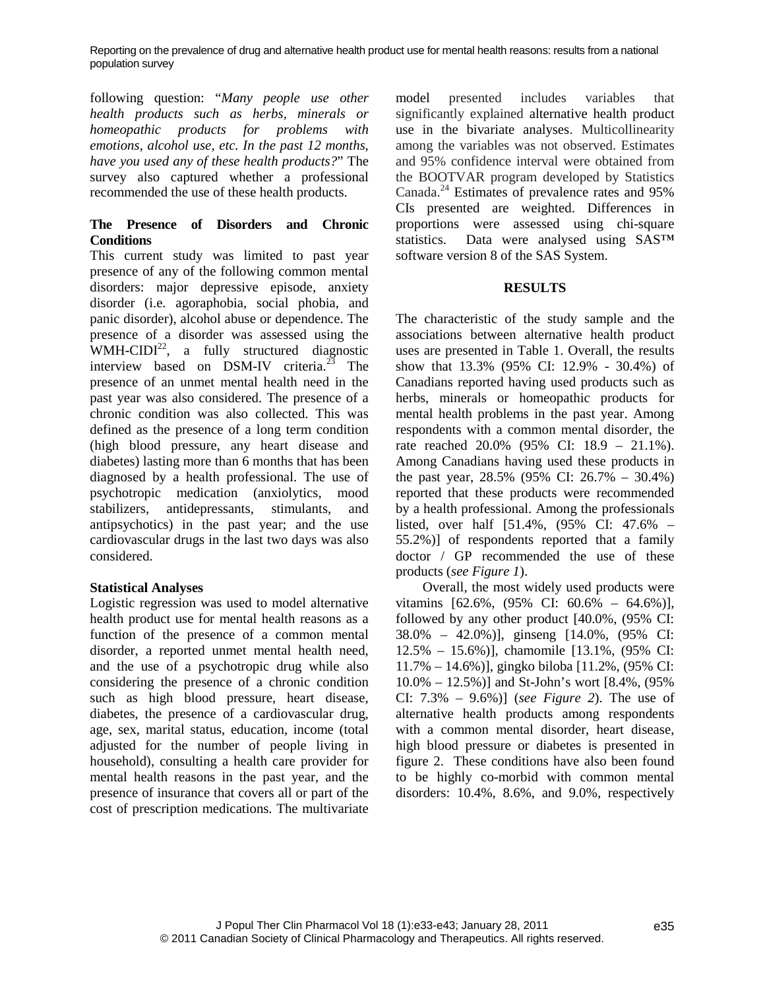following question: "*Many people use other health products such as herbs, minerals or homeopathic products for problems with emotions, alcohol use, etc. In the past 12 months, have you used any of these health products?*" The survey also captured whether a professional recommended the use of these health products.

# **The Presence of Disorders and Chronic Conditions**

This current study was limited to past year presence of any of the following common mental disorders: major depressive episode, anxiety disorder (i.e. agoraphobia, social phobia, and panic disorder), alcohol abuse or dependence. The presence of a disorder was assessed using the WMH-CIDI<sup>22</sup>, a fully structured diagnostic interview based on  $DSM-IV$  criteria.<sup>23</sup> The presence of an unmet mental health need in the past year was also considered. The presence of a chronic condition was also collected. This was defined as the presence of a long term condition (high blood pressure, any heart disease and diabetes) lasting more than 6 months that has been diagnosed by a health professional. The use of psychotropic medication (anxiolytics, mood stabilizers, antidepressants, stimulants, and antipsychotics) in the past year; and the use cardiovascular drugs in the last two days was also considered.

## **Statistical Analyses**

Logistic regression was used to model alternative health product use for mental health reasons as a function of the presence of a common mental disorder, a reported unmet mental health need, and the use of a psychotropic drug while also considering the presence of a chronic condition such as high blood pressure, heart disease, diabetes, the presence of a cardiovascular drug, age, sex, marital status, education, income (total adjusted for the number of people living in household), consulting a health care provider for mental health reasons in the past year, and the presence of insurance that covers all or part of the cost of prescription medications. The multivariate model presented includes variables that significantly explained alternative health product use in the bivariate analyses. Multicollinearity among the variables was not observed. Estimates and 95% confidence interval were obtained from the BOOTVAR program developed by Statistics Canada.<sup>24</sup> Estimates of prevalence rates and 95% CIs presented are weighted. Differences in proportions were assessed using chi-square statistics. Data were analysed using SAS™ software version 8 of the SAS System.

## **RESULTS**

The characteristic of the study sample and the associations between alternative health product uses are presented in Table 1. Overall, the results show that 13.3% (95% CI: 12.9% - 30.4%) of Canadians reported having used products such as herbs, minerals or homeopathic products for mental health problems in the past year. Among respondents with a common mental disorder, the rate reached 20.0% (95% CI: 18.9 – 21.1%). Among Canadians having used these products in the past year, 28.5% (95% CI: 26.7% – 30.4%) reported that these products were recommended by a health professional. Among the professionals listed, over half [51.4%, (95% CI: 47.6% – 55.2%)] of respondents reported that a family doctor / GP recommended the use of these products (*see Figure 1*).

Overall, the most widely used products were vitamins [62.6%, (95% CI: 60.6% – 64.6%)], followed by any other product [40.0%, (95% CI: 38.0% – 42.0%)], ginseng [14.0%, (95% CI: 12.5% – 15.6%)], chamomile [13.1%, (95% CI: 11.7% – 14.6%)], gingko biloba [11.2%, (95% CI: 10.0% – 12.5%)] and St-John's wort [8.4%, (95% CI: 7.3% – 9.6%)] (*see Figure 2*). The use of alternative health products among respondents with a common mental disorder, heart disease, high blood pressure or diabetes is presented in figure 2. These conditions have also been found to be highly co-morbid with common mental disorders: 10.4%, 8.6%, and 9.0%, respectively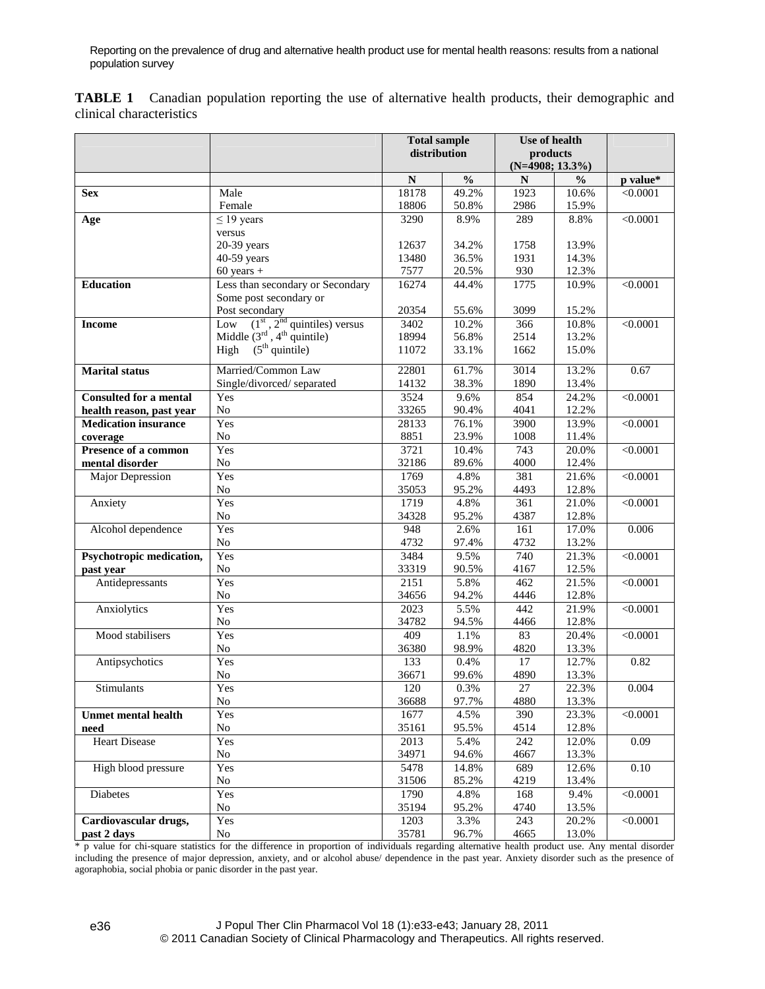**TABLE 1** Canadian population reporting the use of alternative health products, their demographic and clinical characteristics

|                               |                                                            | <b>Total sample</b><br>distribution |               | Use of health<br>products<br>$(N=4908; 13.3\%)$ |                |                 |
|-------------------------------|------------------------------------------------------------|-------------------------------------|---------------|-------------------------------------------------|----------------|-----------------|
|                               |                                                            |                                     |               |                                                 |                |                 |
|                               |                                                            |                                     |               |                                                 |                |                 |
|                               |                                                            | ${\bf N}$                           | $\frac{0}{0}$ | $\mathbf N$                                     | $\frac{0}{0}$  | p value*        |
| <b>Sex</b>                    | Male                                                       | 18178                               | 49.2%         | 1923                                            | 10.6%          | < 0.0001        |
|                               | Female                                                     | 18806                               | 50.8%         | 2986                                            | 15.9%          |                 |
| Age                           | $\leq$ 19 years                                            | 3290                                | 8.9%          | 289                                             | 8.8%           | $\sqrt{0.0001}$ |
|                               | versus                                                     |                                     |               |                                                 |                |                 |
|                               | 20-39 years                                                | 12637                               | 34.2%         | 1758                                            | 13.9%          |                 |
|                               | 40-59 years                                                | 13480                               | 36.5%         | 1931                                            | 14.3%          |                 |
|                               | $60$ years +                                               | 7577                                | 20.5%         | 930                                             | 12.3%          |                 |
| <b>Education</b>              | Less than secondary or Secondary                           | 16274                               | 44.4%         | 1775                                            | 10.9%          | < 0.0001        |
|                               | Some post secondary or                                     |                                     |               |                                                 |                |                 |
|                               | Post secondary                                             | 20354                               | 55.6%         | 3099                                            | 15.2%          |                 |
| <b>Income</b>                 | Low $(1st, 2nd quintiles) versusMidde (3rd, 4th quintile)$ | 3402                                | 10.2%         | 366                                             | 10.8%          | $\sqrt{0.0001}$ |
|                               |                                                            | 18994                               | 56.8%         | 2514                                            | 13.2%          |                 |
|                               | $(5th$ quintile)<br>High                                   | 11072                               | 33.1%         | 1662                                            | 15.0%          |                 |
|                               |                                                            |                                     |               |                                                 |                |                 |
| <b>Marital</b> status         | Married/Common Law                                         | 22801                               | 61.7%         | 3014                                            | 13.2%          | 0.67            |
|                               | Single/divorced/separated                                  | 14132                               | 38.3%         | 1890                                            | 13.4%          |                 |
| <b>Consulted for a mental</b> | Yes                                                        | 3524                                | 9.6%          | 854                                             | 24.2%          | < 0.0001        |
| health reason, past year      | $\rm No$                                                   | 33265                               | 90.4%         | 4041                                            | 12.2%          |                 |
| <b>Medication insurance</b>   | Yes                                                        | 28133                               | 76.1%         | 3900                                            | 13.9%          | < 0.0001        |
| coverage                      | No                                                         | 8851                                | 23.9%         | 1008                                            | 11.4%          |                 |
| Presence of a common          | Yes                                                        | 3721                                | 10.4%         | 743                                             | 20.0%          | < 0.0001        |
| mental disorder               | No                                                         | 32186                               | 89.6%         | 4000                                            | 12.4%          |                 |
| Major Depression              | Yes                                                        | 1769                                | 4.8%          | 381                                             | 21.6%          | < 0.0001        |
|                               | No<br>Yes                                                  | 35053<br>1719                       | 95.2%         | 4493<br>$\overline{361}$                        | 12.8%          |                 |
| Anxiety                       | No                                                         | 34328                               | 4.8%<br>95.2% | 4387                                            | 21.0%<br>12.8% | < 0.0001        |
| Alcohol dependence            | Yes                                                        | 948                                 | 2.6%          | 161                                             | 17.0%          | 0.006           |
|                               | $\rm No$                                                   | 4732                                | 97.4%         | 4732                                            | 13.2%          |                 |
| Psychotropic medication,      | Yes                                                        | 3484                                | 9.5%          | 740                                             | 21.3%          | < 0.0001        |
| past year                     | N <sub>o</sub>                                             | 33319                               | 90.5%         | 4167                                            | 12.5%          |                 |
| Antidepressants               | Yes                                                        | 2151                                | 5.8%          | 462                                             | 21.5%          | < 0.0001        |
|                               | $\rm No$                                                   | 34656                               | 94.2%         | 4446                                            | 12.8%          |                 |
| Anxiolytics                   | Yes                                                        | 2023                                | 5.5%          | 442                                             | 21.9%          | $\sqrt{0.0001}$ |
|                               | No                                                         | 34782                               | 94.5%         | 4466                                            | 12.8%          |                 |
| Mood stabilisers              | Yes                                                        | 409                                 | 1.1%          | 83                                              | 20.4%          | < 0.0001        |
|                               | $\rm No$                                                   | 36380                               | 98.9%         | 4820                                            | 13.3%          |                 |
| Antipsychotics                | Yes                                                        | $\overline{133}$                    | 0.4%          | 17                                              | 12.7%          | 0.82            |
|                               | No                                                         | 36671                               | 99.6%         | 4890                                            | 13.3%          |                 |
| <b>Stimulants</b>             | Yes                                                        | 120                                 | 0.3%          | 27                                              | 22.3%          | 0.004           |
|                               | No                                                         | 36688                               | 97.7%         | 4880                                            | 13.3%          |                 |
| <b>Unmet mental health</b>    | Yes                                                        | 1677                                | 4.5%          | 390                                             | 23.3%          | < 0.0001        |
| need                          | No                                                         | 35161                               | 95.5%         | 4514                                            | 12.8%          |                 |
| <b>Heart Disease</b>          | Yes                                                        | 2013                                | 5.4%          | 242                                             | 12.0%          | 0.09            |
|                               | No                                                         | 34971                               | 94.6%         | 4667                                            | 13.3%          |                 |
| High blood pressure           | Yes                                                        | 5478                                | 14.8%         | 689                                             | 12.6%          | $0.10\,$        |
|                               | No                                                         | 31506                               | 85.2%         | 4219                                            | 13.4%          |                 |
| <b>Diabetes</b>               | Yes                                                        | 1790                                | 4.8%          | 168                                             | 9.4%           | < 0.0001        |
|                               | No                                                         | 35194                               | 95.2%         | 4740                                            | 13.5%          |                 |
| Cardiovascular drugs,         | Yes                                                        | 1203                                | 3.3%          | 243                                             | 20.2%          | < 0.0001        |
| past 2 days                   | No                                                         | 35781                               | 96.7%         | 4665                                            | 13.0%          |                 |

\* p value for chi-square statistics for the difference in proportion of individuals regarding alternative health product use. Any mental disorder including the presence of major depression, anxiety, and or alcohol abuse/ dependence in the past year. Anxiety disorder such as the presence of agoraphobia, social phobia or panic disorder in the past year.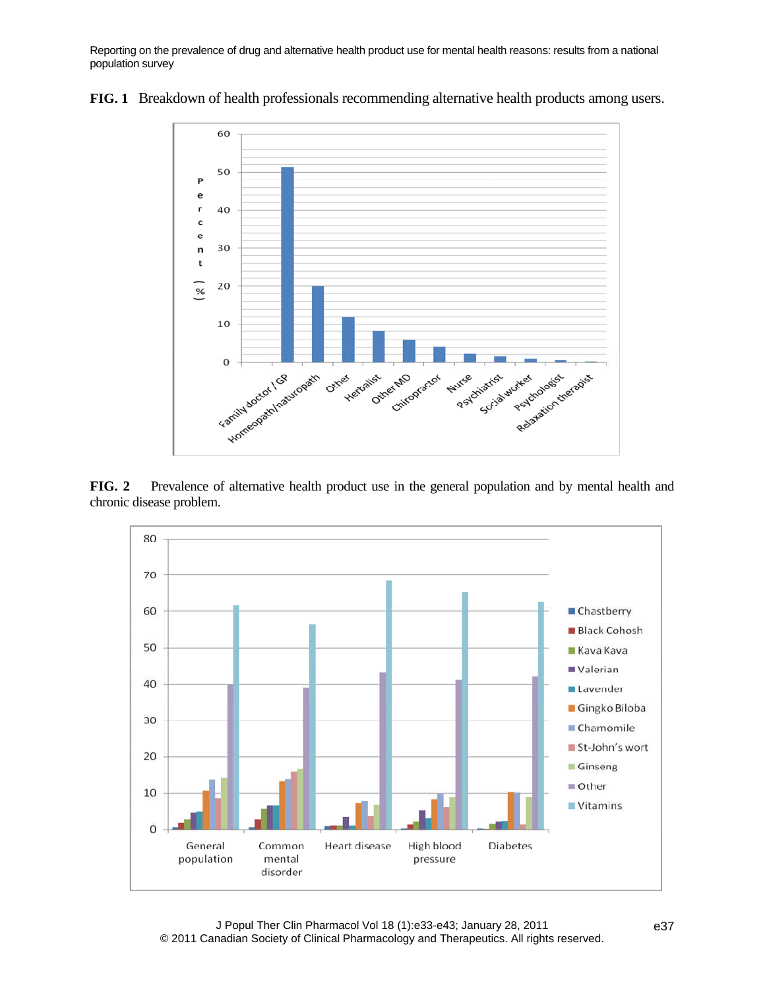

**FIG. 1** Breakdown of health professionals recommending alternative health products among users.

**FIG. 2** Prevalence of alternative health product use in the general population and by mental health and chronic disease problem.

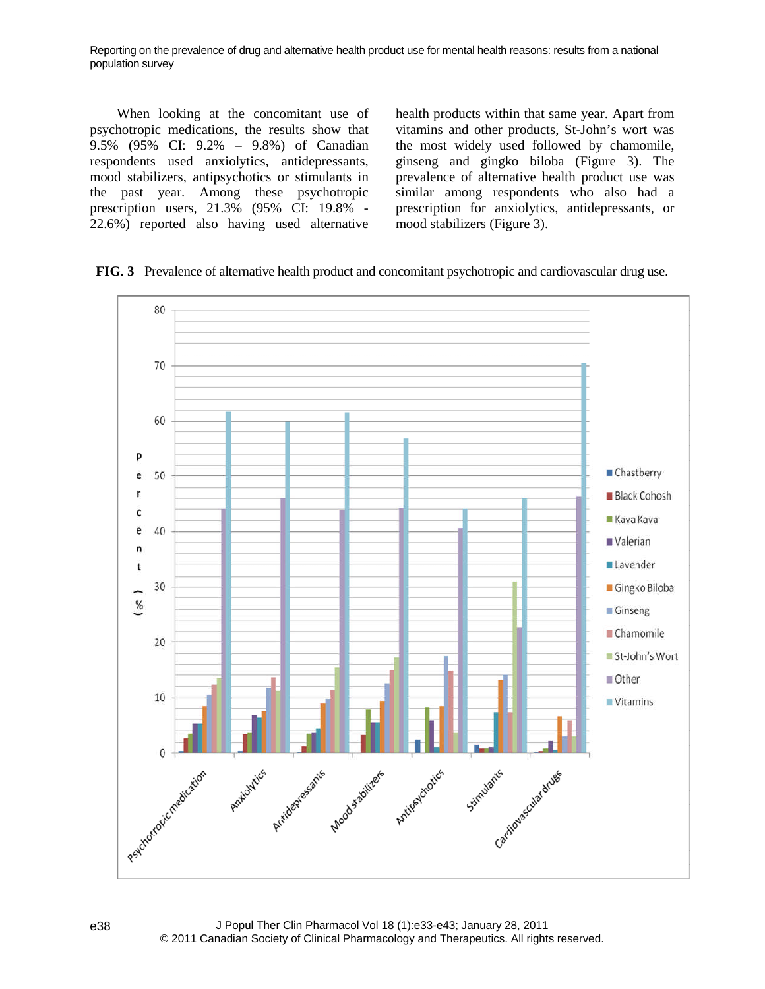When looking at the concomitant use of psychotropic medications, the results show that 9.5% (95% CI: 9.2% – 9.8%) of Canadian respondents used anxiolytics, antidepressants, mood stabilizers, antipsychotics or stimulants in the past year. Among these psychotropic prescription users, 21.3% (95% CI: 19.8% - 22.6%) reported also having used alternative health products within that same year. Apart from vitamins and other products, St-John's wort was the most widely used followed by chamomile, ginseng and gingko biloba (Figure 3). The prevalence of alternative health product use was similar among respondents who also had a prescription for anxiolytics, antidepressants, or mood stabilizers (Figure 3).

**FIG. 3** Prevalence of alternative health product and concomitant psychotropic and cardiovascular drug use.

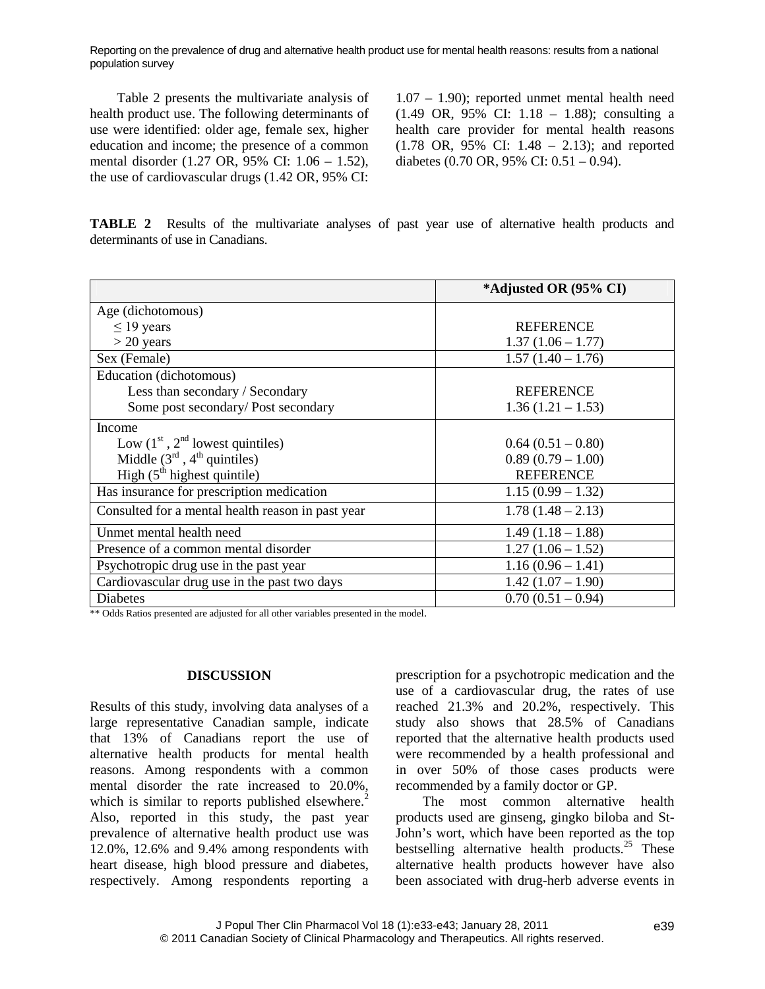Table 2 presents the multivariate analysis of health product use. The following determinants of use were identified: older age, female sex, higher education and income; the presence of a common mental disorder (1.27 OR, 95% CI: 1.06 – 1.52), the use of cardiovascular drugs (1.42 OR, 95% CI:

1.07 – 1.90); reported unmet mental health need (1.49 OR, 95% CI: 1.18 – 1.88); consulting a health care provider for mental health reasons (1.78 OR, 95% CI: 1.48 – 2.13); and reported diabetes (0.70 OR, 95% CI: 0.51 – 0.94).

**TABLE 2** Results of the multivariate analyses of past year use of alternative health products and determinants of use in Canadians.

|                                                   | *Adjusted OR (95% CI) |  |  |  |
|---------------------------------------------------|-----------------------|--|--|--|
| Age (dichotomous)                                 |                       |  |  |  |
| $\leq$ 19 years                                   | <b>REFERENCE</b>      |  |  |  |
| $>$ 20 years                                      | $1.37(1.06 - 1.77)$   |  |  |  |
| Sex (Female)                                      | $1.57(1.40 - 1.76)$   |  |  |  |
| Education (dichotomous)                           |                       |  |  |  |
| Less than secondary / Secondary                   | <b>REFERENCE</b>      |  |  |  |
| Some post secondary/Post secondary                | $1.36(1.21 - 1.53)$   |  |  |  |
| Income                                            |                       |  |  |  |
| Low $(1st, 2nd$ lowest quintiles)                 | $0.64(0.51-0.80)$     |  |  |  |
| Middle $(3rd, 4th quintiles)$                     | $0.89(0.79-1.00)$     |  |  |  |
| High $(5th$ highest quintile)                     | <b>REFERENCE</b>      |  |  |  |
| Has insurance for prescription medication         | $1.15(0.99 - 1.32)$   |  |  |  |
| Consulted for a mental health reason in past year | $1.78(1.48 - 2.13)$   |  |  |  |
| Unmet mental health need                          | $1.49(1.18 - 1.88)$   |  |  |  |
| Presence of a common mental disorder              | $1.27(1.06 - 1.52)$   |  |  |  |
| Psychotropic drug use in the past year            | $1.16(0.96 - 1.41)$   |  |  |  |
| Cardiovascular drug use in the past two days      | $1.42(1.07 - 1.90)$   |  |  |  |
| Diabetes                                          | $0.70(0.51 - 0.94)$   |  |  |  |

\*\* Odds Ratios presented are adjusted for all other variables presented in the model.

#### **DISCUSSION**

Results of this study, involving data analyses of a large representative Canadian sample, indicate that 13% of Canadians report the use of alternative health products for mental health reasons. Among respondents with a common mental disorder the rate increased to 20.0%, which is similar to reports published elsewhere.<sup>2</sup> Also, reported in this study, the past year prevalence of alternative health product use was 12.0%, 12.6% and 9.4% among respondents with heart disease, high blood pressure and diabetes, respectively. Among respondents reporting a prescription for a psychotropic medication and the use of a cardiovascular drug, the rates of use reached 21.3% and 20.2%, respectively. This study also shows that 28.5% of Canadians reported that the alternative health products used were recommended by a health professional and in over 50% of those cases products were recommended by a family doctor or GP.

The most common alternative health products used are ginseng, gingko biloba and St-John's wort, which have been reported as the top bestselling alternative health products. $25$  These alternative health products however have also been associated with drug-herb adverse events in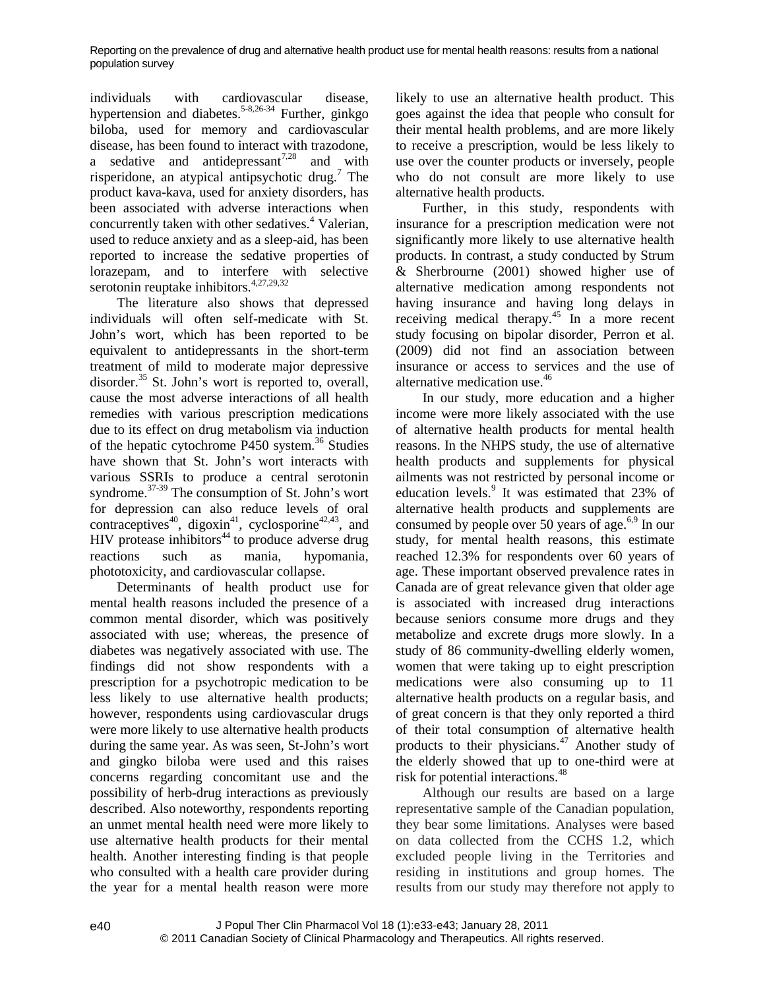individuals with cardiovascular disease, hypertension and diabetes.<sup>5-8,26-34</sup> Further, ginkgo biloba, used for memory and cardiovascular disease, has been found to interact with trazodone, a sedative and antidepressant<sup>7,28</sup> and with risperidone, an atypical antipsychotic drug.<sup>7</sup> The product kava-kava, used for anxiety disorders, has been associated with adverse interactions when concurrently taken with other sedatives.<sup>4</sup> Valerian, used to reduce anxiety and as a sleep-aid, has been reported to increase the sedative properties of lorazepam, and to interfere with selective serotonin reuptake inhibitors.<sup>4,27,29,32</sup>

The literature also shows that depressed individuals will often self-medicate with St. John's wort, which has been reported to be equivalent to antidepressants in the short-term treatment of mild to moderate major depressive disorder.<sup>35</sup> St. John's wort is reported to, overall, cause the most adverse interactions of all health remedies with various prescription medications due to its effect on drug metabolism via induction of the hepatic cytochrome P450 system.<sup>36</sup> Studies have shown that St. John's wort interacts with various SSRIs to produce a central serotonin syndrome.<sup>37-39</sup> The consumption of St. John's wort for depression can also reduce levels of oral contraceptives<sup>40</sup>, digoxin<sup>41</sup>, cyclosporine<sup>42,43</sup>, and HIV protease inhibitors $44$  to produce adverse drug reactions such as mania, hypomania, phototoxicity, and cardiovascular collapse.

Determinants of health product use for mental health reasons included the presence of a common mental disorder, which was positively associated with use; whereas, the presence of diabetes was negatively associated with use. The findings did not show respondents with a prescription for a psychotropic medication to be less likely to use alternative health products; however, respondents using cardiovascular drugs were more likely to use alternative health products during the same year. As was seen, St-John's wort and gingko biloba were used and this raises concerns regarding concomitant use and the possibility of herb-drug interactions as previously described. Also noteworthy, respondents reporting an unmet mental health need were more likely to use alternative health products for their mental health. Another interesting finding is that people who consulted with a health care provider during the year for a mental health reason were more likely to use an alternative health product. This goes against the idea that people who consult for their mental health problems, and are more likely to receive a prescription, would be less likely to use over the counter products or inversely, people who do not consult are more likely to use alternative health products.

Further, in this study, respondents with insurance for a prescription medication were not significantly more likely to use alternative health products. In contrast, a study conducted by Strum & Sherbrourne (2001) showed higher use of alternative medication among respondents not having insurance and having long delays in receiving medical therapy.<sup>45</sup> In a more recent study focusing on bipolar disorder, Perron et al. (2009) did not find an association between insurance or access to services and the use of alternative medication use.<sup>46</sup>

In our study, more education and a higher income were more likely associated with the use of alternative health products for mental health reasons. In the NHPS study, the use of alternative health products and supplements for physical ailments was not restricted by personal income or education levels.<sup>9</sup> It was estimated that 23% of alternative health products and supplements are consumed by people over 50 years of age.<sup>6,9</sup> In our study, for mental health reasons, this estimate reached 12.3% for respondents over 60 years of age. These important observed prevalence rates in Canada are of great relevance given that older age is associated with increased drug interactions because seniors consume more drugs and they metabolize and excrete drugs more slowly. In a study of 86 community-dwelling elderly women, women that were taking up to eight prescription medications were also consuming up to 11 alternative health products on a regular basis, and of great concern is that they only reported a third of their total consumption of alternative health products to their physicians.<sup>47</sup> Another study of the elderly showed that up to one-third were at risk for potential interactions.<sup>48</sup>

Although our results are based on a large representative sample of the Canadian population, they bear some limitations. Analyses were based on data collected from the CCHS 1.2, which excluded people living in the Territories and residing in institutions and group homes. The results from our study may therefore not apply to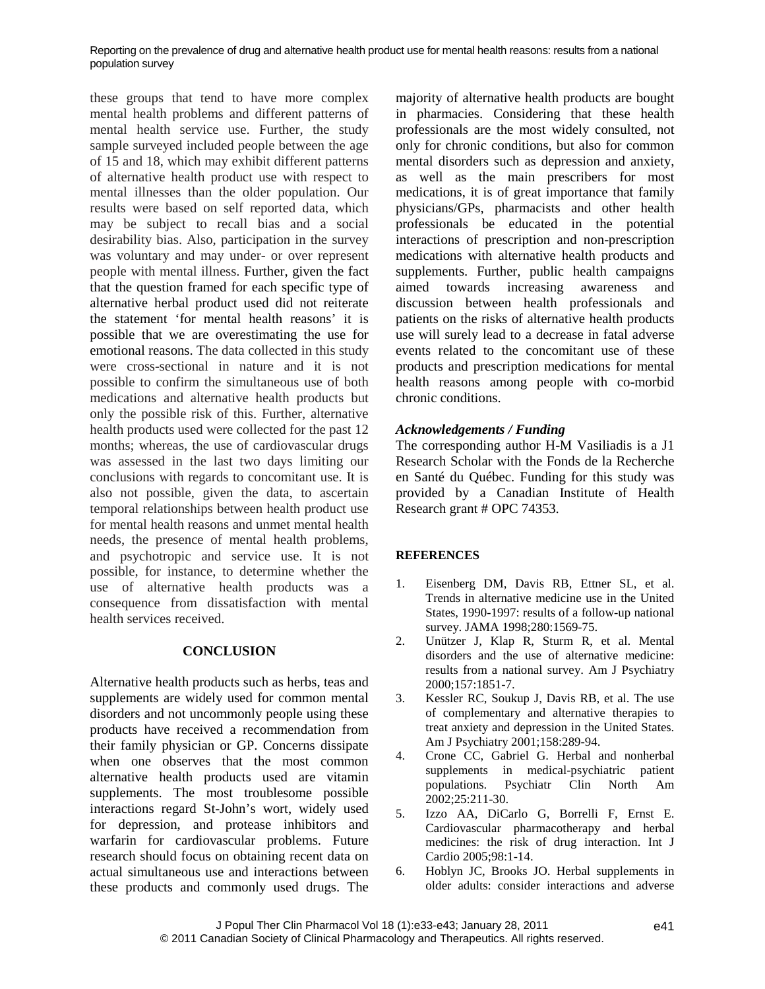these groups that tend to have more complex mental health problems and different patterns of mental health service use. Further, the study sample surveyed included people between the age of 15 and 18, which may exhibit different patterns of alternative health product use with respect to mental illnesses than the older population. Our results were based on self reported data, which may be subject to recall bias and a social desirability bias. Also, participation in the survey was voluntary and may under- or over represent people with mental illness. Further, given the fact that the question framed for each specific type of alternative herbal product used did not reiterate the statement 'for mental health reasons' it is possible that we are overestimating the use for emotional reasons. The data collected in this study were cross-sectional in nature and it is not possible to confirm the simultaneous use of both medications and alternative health products but only the possible risk of this. Further, alternative health products used were collected for the past 12 months; whereas, the use of cardiovascular drugs was assessed in the last two days limiting our conclusions with regards to concomitant use. It is also not possible, given the data, to ascertain temporal relationships between health product use for mental health reasons and unmet mental health needs, the presence of mental health problems, and psychotropic and service use. It is not possible, for instance, to determine whether the use of alternative health products was  $a$  <sup>1.</sup> consequence from dissatisfaction with mental health services received.

## **CONCLUSION**

Alternative health products such as herbs, teas and supplements are widely used for common mental disorders and not uncommonly people using these products have received a recommendation from their family physician or GP. Concerns dissipate when one observes that the most common alternative health products used are vitamin supplements. The most troublesome possible interactions regard St-John's wort, widely used for depression, and protease inhibitors and warfarin for cardiovascular problems. Future research should focus on obtaining recent data on actual simultaneous use and interactions between these products and commonly used drugs. The majority of alternative health products are bought in pharmacies. Considering that these health professionals are the most widely consulted, not only for chronic conditions, but also for common mental disorders such as depression and anxiety, as well as the main prescribers for most medications, it is of great importance that family physicians/GPs, pharmacists and other health professionals be educated in the potential interactions of prescription and non-prescription medications with alternative health products and supplements. Further, public health campaigns aimed towards increasing awareness and discussion between health professionals and patients on the risks of alternative health products use will surely lead to a decrease in fatal adverse events related to the concomitant use of these products and prescription medications for mental health reasons among people with co-morbid chronic conditions.

# *Acknowledgements / Funding*

The corresponding author H-M Vasiliadis is a J1 Research Scholar with the Fonds de la Recherche en Santé du Québec. Funding for this study was provided by a Canadian Institute of Health Research grant # OPC 74353.

# **REFERENCES**

- [Eisenberg DM](http://www.ncbi.nlm.nih.gov/pubmed?term=%22Eisenberg%20DM%22%5BAuthor%5D),Davis RB, [Ettner SL](http://www.ncbi.nlm.nih.gov/pubmed?term=%22Ettner%20SL%22%5BAuthor%5D), et al. Trends in alternative medicine use in the United States, 1990-1997: results of a follow-up national survey. JAMA 1998;280:1569-75.
- 2. [Unützer J](http://www.ncbi.nlm.nih.gov/pubmed?term=%22Un%C3%BCtzer%20J%22%5BAuthor%5D), Klap R, Sturm R, et al. Mental disorders and the use of alternative medicine: results from a national survey. Am J Psychiatry 2000;157:1851-7.
- 3. Kessler RC, Soukup J, Davis RB, et al. The use of complementary and alternative therapies to treat anxiety and depression in the United States. Am J Psychiatry 2001;158:289-94.
- 4. Crone CC, Gabriel G. Herbal and nonherbal supplements in medical-psychiatric patient populations. Psychiatr Clin North Am 2002;25:211-30.
- 5. Izzo AA, DiCarlo G, Borrelli F, Ernst E. Cardiovascular pharmacotherapy and herbal medicines: the risk of drug interaction. Int J Cardio 2005;98:1-14.
- 6. Hoblyn JC, Brooks JO. Herbal supplements in older adults: consider interactions and adverse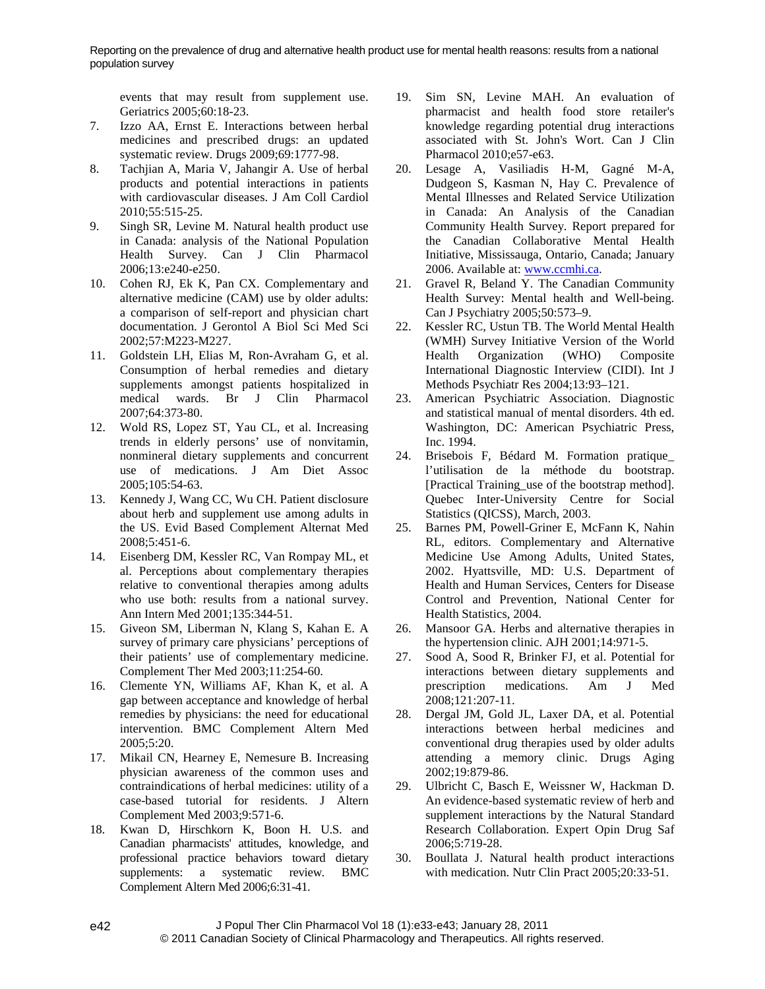events that may result from supplement use. Geriatrics 2005;60:18-23.

- 7. Izzo AA, Ernst E. Interactions between herbal medicines and prescribed drugs: an updated systematic review. Drugs 2009;69:1777-98.
- 8. Tachjian A, Maria V, Jahangir A. Use of herbal products and potential interactions in patients with cardiovascular diseases. J Am Coll Cardiol 2010;55:515-25.
- 9. Singh SR, Levine M. Natural health product use in Canada: analysis of the National Population Health Survey. Can J Clin Pharmacol 2006;13:e240-e250.
- 10. Cohen RJ, Ek K, Pan CX. Complementary and alternative medicine (CAM) use by older adults: a comparison of self-report and physician chart documentation. J Gerontol A Biol Sci Med Sci 2002;57:M223-M227.
- 11. Goldstein LH, Elias M, Ron-Avraham G, et al. Consumption of herbal remedies and dietary supplements amongst patients hospitalized in medical wards. Br J Clin Pharmacol 2007;64:373-80.
- 12. Wold RS, Lopez ST, Yau CL, et al. Increasing trends in elderly persons' use of nonvitamin, nonmineral dietary supplements and concurrent use of medications. J Am Diet Assoc 2005;105:54-63.
- 13. Kennedy J, Wang CC, Wu CH. Patient disclosure about herb and supplement use among adults in the US. Evid Based Complement Alternat Med 2008;5:451-6.
- 14. Eisenberg DM, Kessler RC, Van Rompay ML, et al. Perceptions about complementary therapies relative to conventional therapies among adults who use both: results from a national survey. Ann Intern Med 2001;135:344-51.
- 15. Giveon SM, Liberman N, Klang S, Kahan E. A survey of primary care physicians' perceptions of their patients' use of complementary medicine. Complement Ther Med 2003;11:254-60.
- 16. Clemente YN, Williams AF, Khan K, et al. A gap between acceptance and knowledge of herbal remedies by physicians: the need for educational intervention. BMC Complement Altern Med 2005;5:20.
- 17. Mikail CN, Hearney E, Nemesure B. Increasing physician awareness of the common uses and contraindications of herbal medicines: utility of a case-based tutorial for residents. J Altern Complement Med 2003;9:571-6.
- 18. Kwan D, Hirschkorn K, Boon H. U.S. and Canadian pharmacists' attitudes, knowledge, and professional practice behaviors toward dietary supplements: a systematic review. BMC Complement Altern Med 2006;6:31-41.
- 19. Sim SN, Levine MAH. An evaluation of pharmacist and health food store retailer's knowledge regarding potential drug interactions associated with St. John's Wort. Can J Clin Pharmacol 2010;e57-e63.
- 20. Lesage A, Vasiliadis H-M, Gagné M-A, Dudgeon S, Kasman N, Hay C. Prevalence of Mental Illnesses and Related Service Utilization in Canada: An Analysis of the Canadian Community Health Survey. Report prepared for the Canadian Collaborative Mental Health Initiative, Mississauga, Ontario, Canada; January 2006. Available at: [www.ccmhi.ca](http://www.ccmhi.ca/).
- 21. Gravel R, Beland Y. The Canadian Community Health Survey: Mental health and Well-being. Can J Psychiatry 2005;50:573–9.
- 22. Kessler RC, Ustun TB. The World Mental Health (WMH) Survey Initiative Version of the World Health Organization (WHO) Composite International Diagnostic Interview (CIDI). Int J Methods Psychiatr Res 2004;13:93–121.
- 23. American Psychiatric Association. Diagnostic and statistical manual of mental disorders. 4th ed. Washington, DC: American Psychiatric Press, Inc. 1994.
- 24. Brisebois F, Bédard M. Formation pratique\_ l'utilisation de la méthode du bootstrap. [Practical Training\_use of the bootstrap method]. Quebec Inter-University Centre for Social Statistics (QICSS), March, 2003.
- 25. Barnes PM, Powell-Griner E, McFann K, Nahin RL, editors. Complementary and Alternative Medicine Use Among Adults, United States, 2002. Hyattsville, MD: U.S. Department of Health and Human Services, Centers for Disease Control and Prevention, National Center for Health Statistics, 2004.
- 26. Mansoor GA. Herbs and alternative therapies in the hypertension clinic. AJH 2001;14:971-5.
- 27. Sood A, Sood R, Brinker FJ, et al. Potential for interactions between dietary supplements and prescription medications. Am J Med 2008;121:207-11.
- 28. Dergal JM, Gold JL, Laxer DA, et al. Potential interactions between herbal medicines and conventional drug therapies used by older adults attending a memory clinic. Drugs Aging 2002;19:879-86.
- Ulbricht C, Basch E, Weissner W, Hackman D. An evidence-based systematic review of herb and supplement interactions by the Natural Standard Research Collaboration. Expert Opin Drug Saf 2006;5:719-28.
- 30. Boullata J. Natural health product interactions with medication. Nutr Clin Pract 2005;20:33-51.